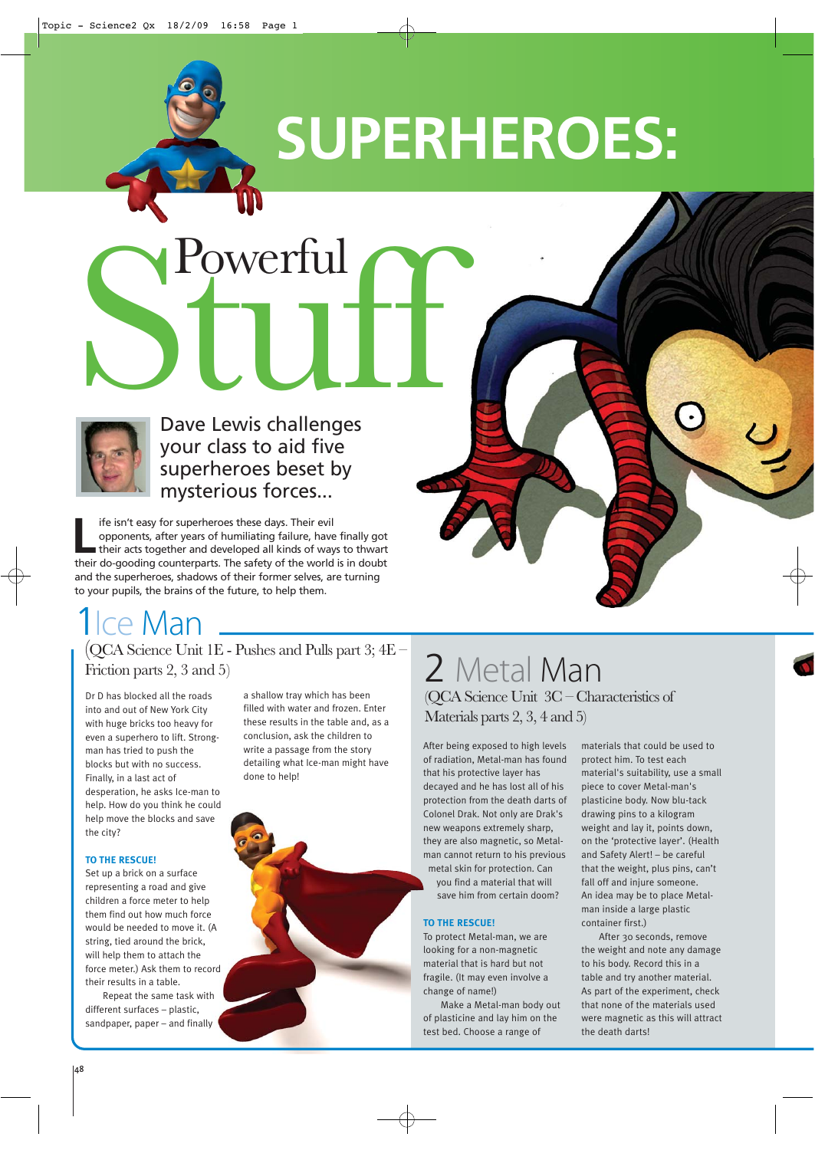

# **SUPERHEROES:**



Dave Lewis challenges your class to aid five superheroes beset by mysterious forces... Sur Lewis challenges

Ife isn't easy for superheroes these days. Their evil opponents, after years of humiliating failure, have their acts together and developed all kinds of way opponents, after years of humiliating failure, have finally got their acts together and developed all kinds of ways to thwart their do-gooding counterparts. The safety of the world is in doubt and the superheroes, shadows of their former selves, are turning to your pupils, the brains of the future, to help them.

# <sup>1</sup>Ice Man

(QCA Science Unit 1E - Pushes and Pulls part 3; 4E – Friction parts 2, 3 and 5)

Dr D has blocked all the roads into and out of New York City with huge bricks too heavy for even a superhero to lift. Strongman has tried to push the blocks but with no success. Finally, in a last act of desperation, he asks Ice-man to help. How do you think he could help move the blocks and save the city?

# **TO THE RESCUE!**

Set up a brick on a surface representing a road and give children a force meter to help them find out how much force would be needed to move it. (A string, tied around the brick, will help them to attach the force meter.) Ask them to record their results in a table.

Repeat the same task with different surfaces – plastic, sandpaper, paper – and finally

a shallow tray which has been filled with water and frozen. Enter these results in the table and, as a conclusion, ask the children to write a passage from the story detailing what Ice-man might have done to help!



# 2 Metal Man (QCA Science Unit 3C – Characteristics of Materials parts 2, 3, 4 and 5)

After being exposed to high levels of radiation, Metal-man has found that his protective layer has decayed and he has lost all of his protection from the death darts of Colonel Drak. Not only are Drak's new weapons extremely sharp, they are also magnetic, so Metalman cannot return to his previous metal skin for protection. Can

you find a material that will save him from certain doom?

### **TO THE RESCUE!**

To protect Metal-man, we are looking for a non-magnetic material that is hard but not fragile. (It may even involve a change of name!)

Make a Metal-man body out of plasticine and lay him on the test bed. Choose a range of

materials that could be used to protect him. To test each material's suitability, use a small piece to cover Metal-man's plasticine body. Now blu-tack drawing pins to a kilogram weight and lay it, points down, on the 'protective layer'. (Health and Safety Alert! – be careful that the weight, plus pins, can't fall off and injure someone. An idea may be to place Metalman inside a large plastic container first.)

After 30 seconds, remove the weight and note any damage to his body. Record this in a table and try another material. As part of the experiment, check that none of the materials used were magnetic as this will attract the death darts!